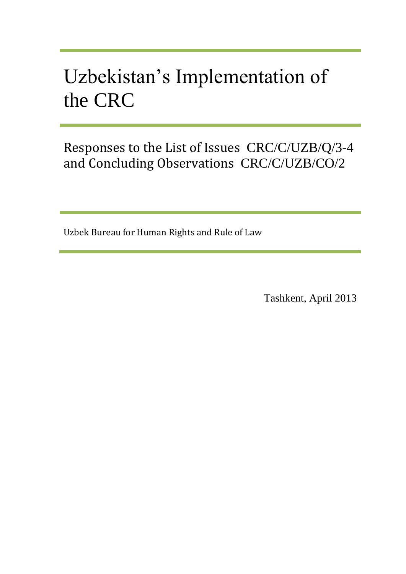# Uzbekistan's Implementation of the CRC

Responses to the List of Issues CRC/C/UZB/Q/3-4 and Concluding Observations CRC/C/UZB/CO/2

Uzbek Bureau for Human Rights and Rule of Law

Tashkent, April 2013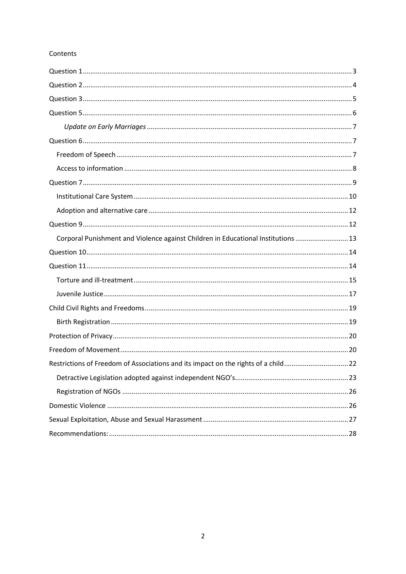#### Contents

| Corporal Punishment and Violence against Children in Educational Institutions  13 |
|-----------------------------------------------------------------------------------|
|                                                                                   |
|                                                                                   |
|                                                                                   |
|                                                                                   |
|                                                                                   |
|                                                                                   |
|                                                                                   |
|                                                                                   |
| Restrictions of Freedom of Associations and its impact on the rights of a child22 |
|                                                                                   |
|                                                                                   |
|                                                                                   |
|                                                                                   |
|                                                                                   |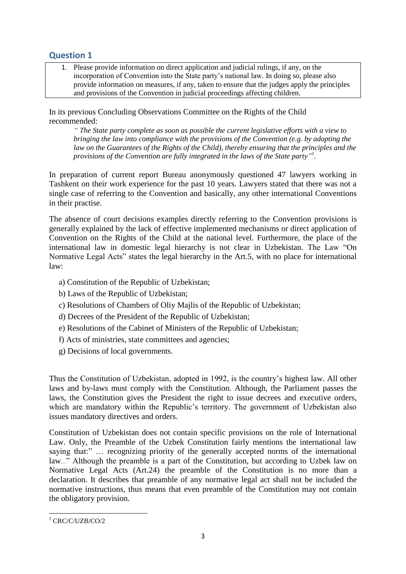# <span id="page-2-0"></span>**Question 1**

1. Please provide information on direct application and judicial rulings, if any, on the incorporation of Convention into the State party's national law. In doing so, please also provide information on measures, if any, taken to ensure that the judges apply the principles and provisions of the Convention in judicial proceedings affecting children.

In its previous Concluding Observations Committee on the Rights of the Child recommended:

*" The State party complete as soon as possible the current legislative efforts with a view to bringing the law into compliance with the provisions of the Convention (e.g. by adopting the*  law on the Guarantees of the Rights of the Child), thereby ensuring that the principles and the *provisions of the Convention are fully integrated in the laws of the State party" 1 .* 

In preparation of current report Bureau anonymously questioned 47 lawyers working in Tashkent on their work experience for the past 10 years. Lawyers stated that there was not a single case of referring to the Convention and basically, any other international Conventions in their practise.

The absence of court decisions examples directly referring to the Convention provisions is generally explained by the lack of effective implemented mechanisms or direct application of Convention on the Rights of the Child at the national level. Furthermore, the place of the international law in domestic legal hierarchy is not clear in Uzbekistan. The Law "On Normative Legal Acts" states the legal hierarchy in the Art.5, with no place for international law:

- a) Constitution of the Republic of Uzbekistan;
- b) Laws of the Republic of Uzbekistan;
- c) Resolutions of Chambers of Oliy Majlis of the Republic of Uzbekistan;
- d) Decrees of the President of the Republic of Uzbekistan;
- e) Resolutions of the Cabinet of Ministers of the Republic of Uzbekistan;
- f) Acts of ministries, state committees and agencies;
- g) Decisions of local governments.

Thus the Constitution of Uzbekistan, adopted in 1992, is the country's highest law. All other laws and by-laws must comply with the Constitution. Although, the Parliament passes the laws, the Constitution gives the President the right to issue decrees and executive orders, which are mandatory within the Republic's territory. The government of Uzbekistan also issues mandatory directives and orders.

Constitution of Uzbekistan does not contain specific provisions on the role of International Law. Only, the Preamble of the Uzbek Constitution fairly mentions the international law saying that:" ... recognizing priority of the generally accepted norms of the international law…" Although the preamble is a part of the Constitution, but according to Uzbek law on Normative Legal Acts (Art.24) the preamble of the Constitution is no more than a declaration. It describes that preamble of any normative legal act shall not be included the normative instructions, thus means that even preamble of the Constitution may not contain the obligatory provision.

**<sup>.</sup>** <sup>1</sup> CRC/C/UZB/CO/2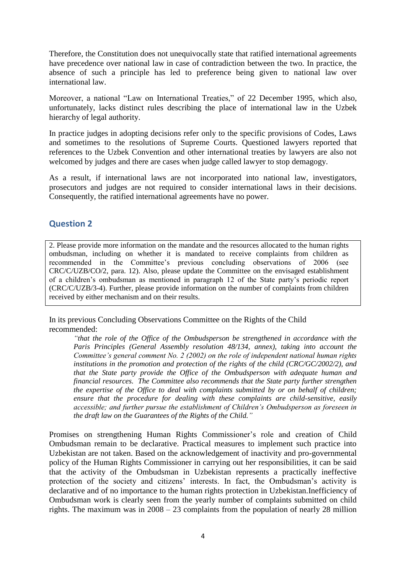Therefore, the Constitution does not unequivocally state that ratified international agreements have precedence over national law in case of contradiction between the two. In practice, the absence of such a principle has led to preference being given to national law over international law.

Moreover, a national "Law on International Treaties," of 22 December 1995, which also, unfortunately, lacks distinct rules describing the place of international law in the Uzbek hierarchy of legal authority.

In practice judges in adopting decisions refer only to the specific provisions of Codes, Laws and sometimes to the resolutions of Supreme Courts. Questioned lawyers reported that references to the Uzbek Convention and other international treaties by lawyers are also not welcomed by judges and there are cases when judge called lawyer to stop demagogy.

As a result, if international laws are not incorporated into national law, investigators, prosecutors and judges are not required to consider international laws in their decisions. Consequently, the ratified international agreements have no power.

# <span id="page-3-0"></span>**Question 2**

2. Please provide more information on the mandate and the resources allocated to the human rights ombudsman, including on whether it is mandated to receive complaints from children as recommended in the Committee's previous concluding observations of 2006 (see CRC/C/UZB/CO/2, para. 12). Also, please update the Committee on the envisaged establishment of a children's ombudsman as mentioned in paragraph 12 of the State party's periodic report (CRC/C/UZB/3-4). Further, please provide information on the number of complaints from children received by either mechanism and on their results.

In its previous Concluding Observations Committee on the Rights of the Child recommended:

*"that the role of the Office of the Ombudsperson be strengthened in accordance with the Paris Principles (General Assembly resolution 48/134, annex), taking into account the Committee's general comment No. 2 (2002) on the role of independent national human rights institutions in the promotion and protection of the rights of the child (CRC/GC/2002/2), and that the State party provide the Office of the Ombudsperson with adequate human and financial resources. The Committee also recommends that the State party further strengthen the expertise of the Office to deal with complaints submitted by or on behalf of children; ensure that the procedure for dealing with these complaints are child-sensitive, easily accessible; and further pursue the establishment of Children's Ombudsperson as foreseen in the draft law on the Guarantees of the Rights of the Child."*

Promises on strengthening Human Rights Commissioner's role and creation of Child Ombudsman remain to be declarative. Practical measures to implement such practice into Uzbekistan are not taken. Based on the acknowledgement of inactivity and pro-governmental policy of the Human Rights Commissioner in carrying out her responsibilities, it can be said that the activity of the Ombudsman in Uzbekistan represents a practically ineffective protection of the society and citizens' interests. In fact, the Ombudsman's activity is declarative and of no importance to the human rights protection in Uzbekistan.Inefficiency of Ombudsman work is clearly seen from the yearly number of complaints submitted on child rights. The maximum was in 2008 – 23 complaints from the population of nearly 28 million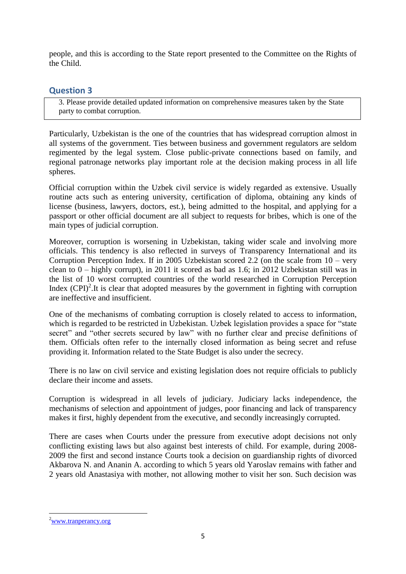people, and this is according to the State report presented to the Committee on the Rights of the Child.

# <span id="page-4-0"></span>**Question 3**

3. Please provide detailed updated information on comprehensive measures taken by the State party to combat corruption.

Particularly, Uzbekistan is the one of the countries that has widespread corruption almost in all systems of the government. Ties between business and government regulators are seldom regimented by the legal system. Close public-private connections based on family, and regional patronage networks play important role at the decision making process in all life spheres.

Official corruption within the Uzbek civil service is widely regarded as extensive. Usually routine acts such as entering university, certification of diploma, obtaining any kinds of license (business, lawyers, doctors, est.), being admitted to the hospital, and applying for a passport or other official document are all subject to requests for bribes, which is one of the main types of judicial corruption.

Moreover, corruption is worsening in Uzbekistan, taking wider scale and involving more officials. This tendency is also reflected in surveys of Transparency International and its Corruption Perception Index. If in 2005 Uzbekistan scored 2.2 (on the scale from 10 – very clean to 0 – highly corrupt), in 2011 it scored as bad as 1.6; in 2012 Uzbekistan still was in the list of 10 worst corrupted countries of the world researched in Corruption Perception Index  $(CPI)^2$ . It is clear that adopted measures by the government in fighting with corruption are ineffective and insufficient.

One of the mechanisms of combating corruption is closely related to access to information, which is regarded to be restricted in Uzbekistan. Uzbek legislation provides a space for "state" secret" and "other secrets secured by law" with no further clear and precise definitions of them. Officials often refer to the internally closed information as being secret and refuse providing it. Information related to the State Budget is also under the secrecy.

There is no law on civil service and existing legislation does not require officials to publicly declare their income and assets.

Corruption is widespread in all levels of judiciary. Judiciary lacks independence, the mechanisms of selection and appointment of judges, poor financing and lack of transparency makes it first, highly dependent from the executive, and secondly increasingly corrupted.

There are cases when Courts under the pressure from executive adopt decisions not only conflicting existing laws but also against best interests of child. For example, during 2008- 2009 the first and second instance Courts took a decision on guardianship rights of divorced Akbarova N. and Ananin A. according to which 5 years old Yaroslav remains with father and 2 years old Anastasiya with mother, not allowing mother to visit her son. Such decision was

<sup>&</sup>lt;sup>2</sup>[www.tranperancy.org](http://www.tranperancy.org/)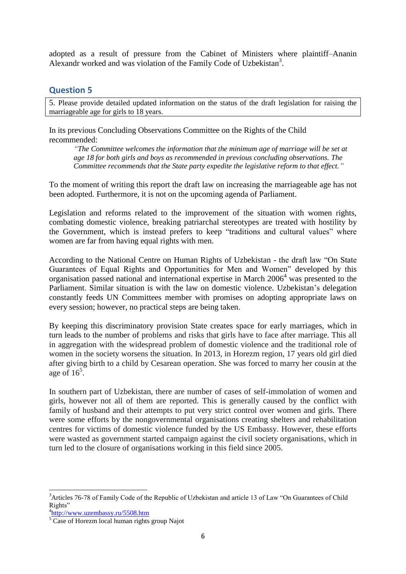adopted as a result of pressure from the Cabinet of Ministers where plaintiff–Ananin Alexandr worked and was violation of the Family Code of Uzbekistan<sup>3</sup>.

## <span id="page-5-0"></span>**Question 5**

5. Please provide detailed updated information on the status of the draft legislation for raising the marriageable age for girls to 18 years.

In its previous Concluding Observations Committee on the Rights of the Child recommended:

*"The Committee welcomes the information that the minimum age of marriage will be set at age 18 for both girls and boys as recommended in previous concluding observations. The Committee recommends that the State party expedite the legislative reform to that effect."*

To the moment of writing this report the draft law on increasing the marriageable age has not been adopted. Furthermore, it is not on the upcoming agenda of Parliament.

Legislation and reforms related to the improvement of the situation with women rights, combating domestic violence, breaking patriarchal stereotypes are treated with hostility by the Government, which is instead prefers to keep "traditions and cultural values" where women are far from having equal rights with men.

According to the National Centre on Human Rights of Uzbekistan - the draft law "On State Guarantees of Equal Rights and Opportunities for Men and Women" developed by this organisation passed national and international expertise in March 2006<sup>4</sup> was presented to the Parliament. Similar situation is with the law on domestic violence. Uzbekistan's delegation constantly feeds UN Committees member with promises on adopting appropriate laws on every session; however, no practical steps are being taken.

By keeping this discriminatory provision State creates space for early marriages, which in turn leads to the number of problems and risks that girls have to face after marriage. This all in aggregation with the widespread problem of domestic violence and the traditional role of women in the society worsens the situation. In 2013, in Horezm region, 17 years old girl died after giving birth to a child by Cesarean operation. She was forced to marry her cousin at the age of  $16^5$ .

In southern part of Uzbekistan, there are number of cases of self-immolation of women and girls, however not all of them are reported. This is generally caused by the conflict with family of husband and their attempts to put very strict control over women and girls. There were some efforts by the nongovernmental organisations creating shelters and rehabilitation centres for victims of domestic violence funded by the US Embassy. However, these efforts were wasted as government started campaign against the civil society organisations, which in turn led to the closure of organisations working in this field since 2005.

<sup>&</sup>lt;sup>3</sup>Articles 76-78 of Family Code of the Republic of Uzbekistan and article 13 of Law "On Guarantees of Child Rights"

<sup>4</sup> <http://www.uzembassy.ru/5508.htm>

 $5\overline{\text{Case of Horezm local human rights group Najot}}$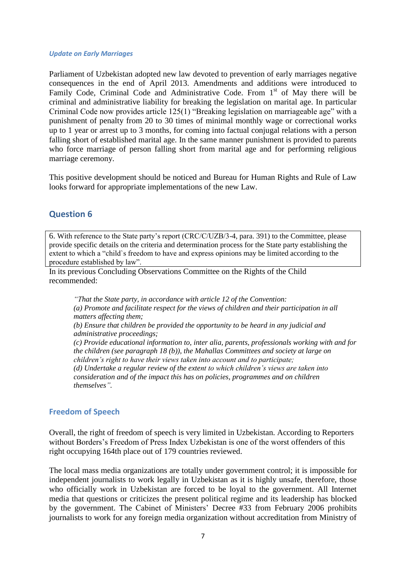#### <span id="page-6-0"></span>*Update on Early Marriages*

Parliament of Uzbekistan adopted new law devoted to prevention of early marriages negative consequences in the end of April 2013. Amendments and additions were introduced to Family Code, Criminal Code and Administrative Code. From  $1<sup>st</sup>$  of May there will be criminal and administrative liability for breaking the legislation on marital age. In particular Criminal Code now provides article 125(1) "Breaking legislation on marriageable age" with a punishment of penalty from 20 to 30 times of minimal monthly wage or correctional works up to 1 year or arrest up to 3 months, for coming into factual conjugal relations with a person falling short of established marital age. In the same manner punishment is provided to parents who force marriage of person falling short from marital age and for performing religious marriage ceremony.

This positive development should be noticed and Bureau for Human Rights and Rule of Law looks forward for appropriate implementations of the new Law.

# <span id="page-6-1"></span>**Question 6**

6. With reference to the State party's report (CRC/C/UZB/3-4, para. 391) to the Committee, please provide specific details on the criteria and determination process for the State party establishing the extent to which a "child`s freedom to have and express opinions may be limited according to the procedure established by law".

In its previous Concluding Observations Committee on the Rights of the Child recommended:

*"That the State party, in accordance with article 12 of the Convention: (a) Promote and facilitate respect for the views of children and their participation in all matters affecting them; (b) Ensure that children be provided the opportunity to be heard in any judicial and administrative proceedings; (c) Provide educational information to, inter alia, parents, professionals working with and for the children (see paragraph 18 (b)), the Mahallas Committees and society at large on children's right to have their views taken into account and to participate; (d) Undertake a regular review of the extent to which children's views are taken into consideration and of the impact this has on policies, programmes and on children* 

#### <span id="page-6-2"></span>**Freedom of Speech**

*themselves".*

Overall, the right of freedom of speech is very limited in Uzbekistan. According to Reporters without Borders's Freedom of Press Index Uzbekistan is one of the worst offenders of this right occupying 164th place out of 179 countries reviewed.

The local mass media organizations are totally under government control; it is impossible for independent journalists to work legally in Uzbekistan as it is highly unsafe, therefore, those who officially work in Uzbekistan are forced to be loyal to the government. All Internet media that questions or criticizes the present political regime and its leadership has blocked by the government. The Cabinet of Ministers' Decree #33 from February 2006 prohibits journalists to work for any foreign media organization without accreditation from Ministry of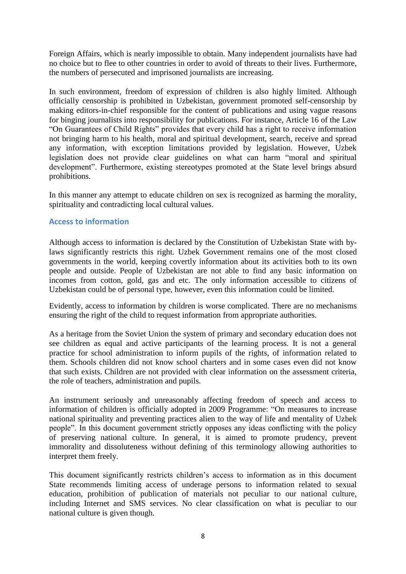Foreign Affairs, which is nearly impossible to obtain. Many independent journalists have had no choice but to flee to other countries in order to avoid of threats to their lives. Furthermore, the numbers of persecuted and imprisoned journalists are increasing.

In such environment, freedom of expression of children is also highly limited. Although officially censorship is prohibited in Uzbekistan, government promoted self-censorship by making editors-in-chief responsible for the content of publications and using vague reasons for binging journalists into responsibility for publications. For instance, Article 16 of the Law "On Guarantees of Child Rights" provides that every child has a right to receive information not bringing harm to his health, moral and spiritual development, search, receive and spread any information, with exception limitations provided by legislation. However, Uzbek legislation does not provide clear guidelines on what can harm "moral and spiritual development". Furthermore, existing stereotypes promoted at the State level brings absurd prohibitions.

In this manner any attempt to educate children on sex is recognized as harming the morality, spirituality and contradicting local cultural values.

## <span id="page-7-0"></span>**Access to information**

Although access to information is declared by the Constitution of Uzbekistan State with bylaws significantly restricts this right. Uzbek Government remains one of the most closed governments in the world, keeping covertly information about its activities both to its own people and outside. People of Uzbekistan are not able to find any basic information on incomes from cotton, gold, gas and etc. The only information accessible to citizens of Uzbekistan could be of personal type, however, even this information could be limited.

Evidently, access to information by children is worse complicated. There are no mechanisms ensuring the right of the child to request information from appropriate authorities.

As a heritage from the Soviet Union the system of primary and secondary education does not see children as equal and active participants of the learning process. It is not a general practice for school administration to inform pupils of the rights, of information related to them. Schools children did not know school charters and in some cases even did not know that such exists. Children are not provided with clear information on the assessment criteria, the role of teachers, administration and pupils.

An instrument seriously and unreasonably affecting freedom of speech and access to information of children is officially adopted in 2009 Programme: "On measures to increase national spirituality and preventing practices alien to the way of life and mentality of Uzbek people". In this document government strictly opposes any ideas conflicting with the policy of preserving national culture. In general, it is aimed to promote prudency, prevent immorality and dissoluteness without defining of this terminology allowing authorities to interpret them freely.

This document significantly restricts children's access to information as in this document State recommends limiting access of underage persons to information related to sexual education, prohibition of publication of materials not peculiar to our national culture, including Internet and SMS services. No clear classification on what is peculiar to our national culture is given though.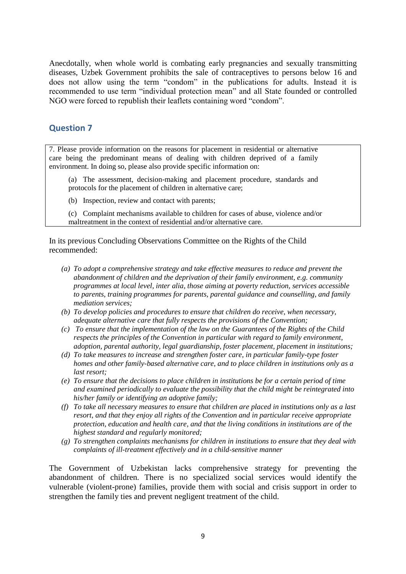Anecdotally, when whole world is combating early pregnancies and sexually transmitting diseases, Uzbek Government prohibits the sale of contraceptives to persons below 16 and does not allow using the term "condom" in the publications for adults. Instead it is recommended to use term "individual protection mean" and all State founded or controlled NGO were forced to republish their leaflets containing word "condom".

# <span id="page-8-0"></span>**Question 7**

7. Please provide information on the reasons for placement in residential or alternative care being the predominant means of dealing with children deprived of a family environment. In doing so, please also provide specific information on:

(a) The assessment, decision-making and placement procedure, standards and protocols for the placement of children in alternative care;

(b) Inspection, review and contact with parents;

(c) Complaint mechanisms available to children for cases of abuse, violence and/or maltreatment in the context of residential and/or alternative care.

In its previous Concluding Observations Committee on the Rights of the Child recommended:

- *(a) To adopt a comprehensive strategy and take effective measures to reduce and prevent the abandonment of children and the deprivation of their family environment, e.g. community programmes at local level, inter alia, those aiming at poverty reduction, services accessible to parents, training programmes for parents, parental guidance and counselling, and family mediation services;*
- *(b) To develop policies and procedures to ensure that children do receive, when necessary, adequate alternative care that fully respects the provisions of the Convention;*
- *(c) To ensure that the implementation of the law on the Guarantees of the Rights of the Child respects the principles of the Convention in particular with regard to family environment, adoption, parental authority, legal guardianship, foster placement, placement in institutions;*
- *(d) To take measures to increase and strengthen foster care, in particular family-type foster homes and other family-based alternative care, and to place children in institutions only as a last resort;*
- *(e) To ensure that the decisions to place children in institutions be for a certain period of time and examined periodically to evaluate the possibility that the child might be reintegrated into his/her family or identifying an adoptive family;*
- *(f) To take all necessary measures to ensure that children are placed in institutions only as a last resort, and that they enjoy all rights of the Convention and in particular receive appropriate protection, education and health care, and that the living conditions in institutions are of the highest standard and regularly monitored;*
- *(g) To strengthen complaints mechanisms for children in institutions to ensure that they deal with complaints of ill-treatment effectively and in a child-sensitive manner*

The Government of Uzbekistan lacks comprehensive strategy for preventing the abandonment of children. There is no specialized social services would identify the vulnerable (violent-prone) families, provide them with social and crisis support in order to strengthen the family ties and prevent negligent treatment of the child.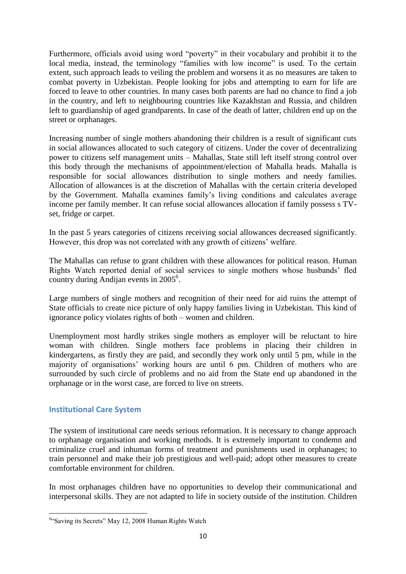Furthermore, officials avoid using word "poverty" in their vocabulary and prohibit it to the local media, instead, the terminology "families with low income" is used. To the certain extent, such approach leads to veiling the problem and worsens it as no measures are taken to combat poverty in Uzbekistan. People looking for jobs and attempting to earn for life are forced to leave to other countries. In many cases both parents are had no chance to find a job in the country, and left to neighbouring countries like Kazakhstan and Russia, and children left to guardianship of aged grandparents. In case of the death of latter, children end up on the street or orphanages.

Increasing number of single mothers abandoning their children is a result of significant cuts in social allowances allocated to such category of citizens. Under the cover of decentralizing power to citizens self management units – Mahallas, State still left itself strong control over this body through the mechanisms of appointment/election of Mahalla heads. Mahalla is responsible for social allowances distribution to single mothers and needy families. Allocation of allowances is at the discretion of Mahallas with the certain criteria developed by the Government. Mahalla examines family's living conditions and calculates average income per family member. It can refuse social allowances allocation if family possess s TVset, fridge or carpet.

In the past 5 years categories of citizens receiving social allowances decreased significantly. However, this drop was not correlated with any growth of citizens' welfare.

The Mahallas can refuse to grant children with these allowances for political reason. Human Rights Watch reported denial of social services to single mothers whose husbands' fled country during Andijan events in 2005<sup>6</sup>.

Large numbers of single mothers and recognition of their need for aid ruins the attempt of State officials to create nice picture of only happy families living in Uzbekistan. This kind of ignorance policy violates rights of both – women and children.

Unemployment most hardly strikes single mothers as employer will be reluctant to hire woman with children. Single mothers face problems in placing their children in kindergartens, as firstly they are paid, and secondly they work only until 5 pm, while in the majority of organisations' working hours are until 6 pm. Children of mothers who are surrounded by such circle of problems and no aid from the State end up abandoned in the orphanage or in the worst case, are forced to live on streets.

## <span id="page-9-0"></span>**Institutional Care System**

**.** 

The system of institutional care needs serious reformation. It is necessary to change approach to orphanage organisation and working methods. It is extremely important to condemn and criminalize cruel and inhuman forms of treatment and punishments used in orphanages; to train personnel and make their job prestigious and well-paid; adopt other measures to create comfortable environment for children.

In most orphanages children have no opportunities to develop their communicational and interpersonal skills. They are not adapted to life in society outside of the institution. Children

<sup>&</sup>lt;sup>6</sup>"Saving its Secrets" May 12, 2008 Human Rights Watch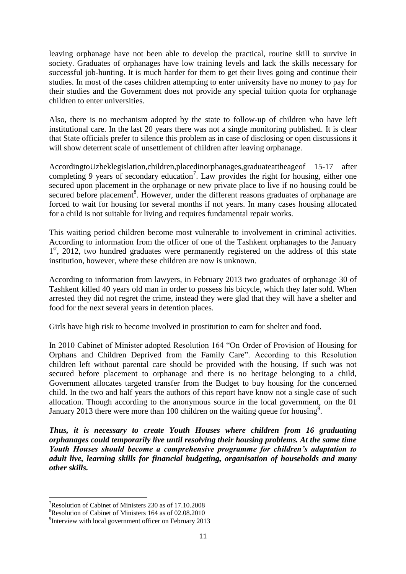leaving orphanage have not been able to develop the practical, routine skill to survive in society. Graduates of orphanages have low training levels and lack the skills necessary for successful job-hunting. It is much harder for them to get their lives going and continue their studies. In most of the cases children attempting to enter university have no money to pay for their studies and the Government does not provide any special tuition quota for orphanage children to enter universities.

Also, there is no mechanism adopted by the state to follow-up of children who have left institutional care. In the last 20 years there was not a single monitoring published. It is clear that State officials prefer to silence this problem as in case of disclosing or open discussions it will show deterrent scale of unsettlement of children after leaving orphanage.

AccordingtoUzbeklegislation,children,placedinorphanages,graduateattheageof 15-17 after completing 9 years of secondary education<sup>7</sup>. Law provides the right for housing, either one secured upon placement in the orphanage or new private place to live if no housing could be secured before placement<sup>8</sup>. However, under the different reasons graduates of orphanage are forced to wait for housing for several months if not years. In many cases housing allocated for a child is not suitable for living and requires fundamental repair works.

This waiting period children become most vulnerable to involvement in criminal activities. According to information from the officer of one of the Tashkent orphanages to the January 1<sup>st</sup>, 2012, two hundred graduates were permanently registered on the address of this state institution, however, where these children are now is unknown.

According to information from lawyers, in February 2013 two graduates of orphanage 30 of Tashkent killed 40 years old man in order to possess his bicycle, which they later sold. When arrested they did not regret the crime, instead they were glad that they will have a shelter and food for the next several years in detention places.

Girls have high risk to become involved in prostitution to earn for shelter and food.

In 2010 Cabinet of Minister adopted Resolution 164 "On Order of Provision of Housing for Orphans and Children Deprived from the Family Care". According to this Resolution children left without parental care should be provided with the housing. If such was not secured before placement to orphanage and there is no heritage belonging to a child, Government allocates targeted transfer from the Budget to buy housing for the concerned child. In the two and half years the authors of this report have know not a single case of such allocation. Though according to the anonymous source in the local government, on the 01 January 2013 there were more than 100 children on the waiting queue for housing<sup>9</sup>.

*Thus, it is necessary to create Youth Houses where children from 16 graduating orphanages could temporarily live until resolving their housing problems. At the same time Youth Houses should become a comprehensive programme for children's adaptation to adult live, learning skills for financial budgeting, organisation of households and many other skills.* 

1

<sup>&</sup>lt;sup>7</sup>Resolution of Cabinet of Ministers 230 as of 17.10.2008

<sup>8</sup>Resolution of Cabinet of Ministers 164 as of 02.08.2010

<sup>&</sup>lt;sup>9</sup>Interview with local government officer on February 2013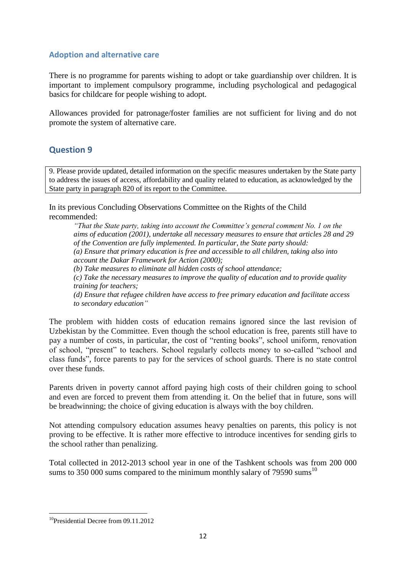#### <span id="page-11-0"></span>**Adoption and alternative care**

There is no programme for parents wishing to adopt or take guardianship over children. It is important to implement compulsory programme, including psychological and pedagogical basics for childcare for people wishing to adopt.

Allowances provided for patronage/foster families are not sufficient for living and do not promote the system of alternative care.

# <span id="page-11-1"></span>**Question 9**

9. Please provide updated, detailed information on the specific measures undertaken by the State party to address the issues of access, affordability and quality related to education, as acknowledged by the State party in paragraph 820 of its report to the Committee.

In its previous Concluding Observations Committee on the Rights of the Child recommended:

*"That the State party, taking into account the Committee's general comment No. 1 on the aims of education (2001), undertake all necessary measures to ensure that articles 28 and 29 of the Convention are fully implemented. In particular, the State party should: (a) Ensure that primary education is free and accessible to all children, taking also into account the Dakar Framework for Action (2000); (b) Take measures to eliminate all hidden costs of school attendance; (c) Take the necessary measures to improve the quality of education and to provide quality training for teachers;*

*(d) Ensure that refugee children have access to free primary education and facilitate access to secondary education"*

The problem with hidden costs of education remains ignored since the last revision of Uzbekistan by the Committee. Even though the school education is free, parents still have to pay a number of costs, in particular, the cost of "renting books", school uniform, renovation of school, "present" to teachers. School regularly collects money to so-called "school and class funds", force parents to pay for the services of school guards. There is no state control over these funds.

Parents driven in poverty cannot afford paying high costs of their children going to school and even are forced to prevent them from attending it. On the belief that in future, sons will be breadwinning; the choice of giving education is always with the boy children.

Not attending compulsory education assumes heavy penalties on parents, this policy is not proving to be effective. It is rather more effective to introduce incentives for sending girls to the school rather than penalizing.

Total collected in 2012-2013 school year in one of the Tashkent schools was from 200 000 sums to 350 000 sums compared to the minimum monthly salary of 79590 sums<sup>10</sup>

<sup>&</sup>lt;sup>10</sup>Presidential Decree from 09.11.2012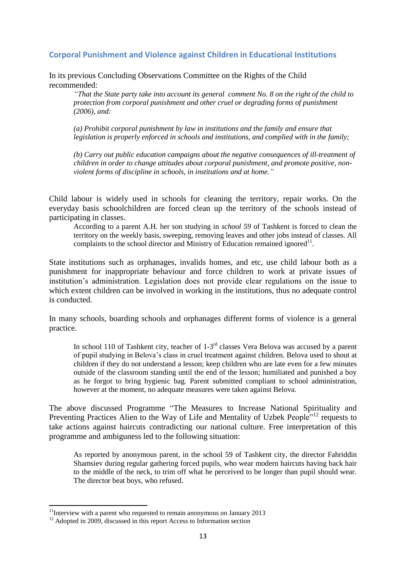#### <span id="page-12-0"></span>**Corporal Punishment and Violence against Children in Educational Institutions**

In its previous Concluding Observations Committee on the Rights of the Child recommended:

*"That the State party take into account its general comment No. 8 on the right of the child to protection from corporal punishment and other cruel or degrading forms of punishment (2006), and:*

*(a) Prohibit corporal punishment by law in institutions and the family and ensure that legislation is properly enforced in schools and institutions, and complied with in the family;* 

*(b) Carry out public education campaigns about the negative consequences of ill-treatment of children in order to change attitudes about corporal punishment, and promote positive, nonviolent forms of discipline in schools, in institutions and at home."*

Child labour is widely used in schools for cleaning the territory, repair works. On the everyday basis schoolchildren are forced clean up the territory of the schools instead of participating in classes.

According to a parent A.H. her son studying in *school 59* of Tashkent is forced to clean the territory on the weekly basis, sweeping, removing leaves and other jobs instead of classes. All complaints to the school director and Ministry of Education remained ignored $^{11}$ .

State institutions such as orphanages, invalids homes, and etc, use child labour both as a punishment for inappropriate behaviour and force children to work at private issues of institution's administration. Legislation does not provide clear regulations on the issue to which extent children can be involved in working in the institutions, thus no adequate control is conducted.

In many schools, boarding schools and orphanages different forms of violence is a general practice.

In school 110 of Tashkent city, teacher of  $1-3<sup>rd</sup>$  classes Vera Belova was accused by a parent of pupil studying in Belova's class in cruel treatment against children. Belova used to shout at children if they do not understand a lesson; keep children who are late even for a few minutes outside of the classroom standing until the end of the lesson; humiliated and punished a boy as he forgot to bring hygienic bag. Parent submitted compliant to school administration, however at the moment, no adequate measures were taken against Belova.

The above discussed Programme "The Measures to Increase National Spirituality and Preventing Practices Alien to the Way of Life and Mentality of Uzbek People<sup>"12</sup> requests to take actions against haircuts contradicting our national culture. Free interpretation of this programme and ambiguness led to the following situation:

As reported by anonymous parent, in the school 59 of Tashkent city, the director Fahriddin Shamsiev during regular gathering forced pupils, who wear modern haircuts having back hair to the middle of the neck, to trim off what he perceived to be longer than pupil should wear. The director beat boys, who refused.

 $11$ Interview with a parent who requested to remain anonymous on January 2013

<sup>&</sup>lt;sup>12</sup> Adopted in 2009, discussed in this report Access to Information section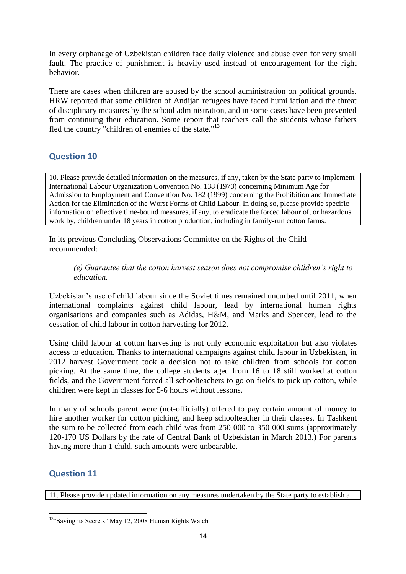In every orphanage of Uzbekistan children face daily violence and abuse even for very small fault. The practice of punishment is heavily used instead of encouragement for the right behavior.

There are cases when children are abused by the school administration on political grounds. HRW reported that some children of Andijan refugees have faced humiliation and the threat of disciplinary measures by the school administration, and in some cases have been prevented from continuing their education. Some report that teachers call the students whose fathers fled the country "children of enemies of the state."<sup>13</sup>

# <span id="page-13-0"></span>**Question 10**

10. Please provide detailed information on the measures, if any, taken by the State party to implement International Labour Organization Convention No. 138 (1973) concerning Minimum Age for Admission to Employment and Convention No. 182 (1999) concerning the Prohibition and Immediate Action for the Elimination of the Worst Forms of Child Labour. In doing so, please provide specific information on effective time-bound measures, if any, to eradicate the forced labour of, or hazardous work by, children under 18 years in cotton production, including in family-run cotton farms.

In its previous Concluding Observations Committee on the Rights of the Child recommended:

#### *(e) Guarantee that the cotton harvest season does not compromise children's right to education.*

Uzbekistan's use of child labour since the Soviet times remained uncurbed until 2011, when international complaints against child labour, lead by international human rights organisations and companies such as Adidas, H&M, and Marks and Spencer, lead to the cessation of child labour in cotton harvesting for 2012.

Using child labour at cotton harvesting is not only economic exploitation but also violates access to education. Thanks to international campaigns against child labour in Uzbekistan, in 2012 harvest Government took a decision not to take children from schools for cotton picking. At the same time, the college students aged from 16 to 18 still worked at cotton fields, and the Government forced all schoolteachers to go on fields to pick up cotton, while children were kept in classes for 5-6 hours without lessons.

In many of schools parent were (not-officially) offered to pay certain amount of money to hire another worker for cotton picking, and keep schoolteacher in their classes. In Tashkent the sum to be collected from each child was from 250 000 to 350 000 sums (approximately 120-170 US Dollars by the rate of Central Bank of Uzbekistan in March 2013.) For parents having more than 1 child, such amounts were unbearable.

# <span id="page-13-1"></span>**Question 11**

**.** 

11. Please provide updated information on any measures undertaken by the State party to establish a

<sup>&</sup>lt;sup>13</sup>"Saving its Secrets" May 12, 2008 Human Rights Watch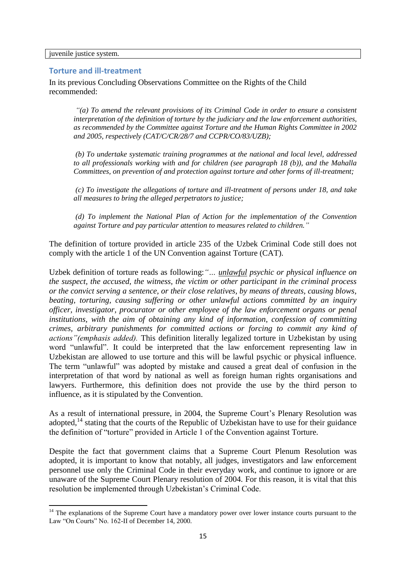<span id="page-14-0"></span>juvenile justice system.

**.** 

#### **Torture and ill-treatment**

In its previous Concluding Observations Committee on the Rights of the Child recommended:

*"(a) To amend the relevant provisions of its Criminal Code in order to ensure a consistent interpretation of the definition of torture by the judiciary and the law enforcement authorities, as recommended by the Committee against Torture and the Human Rights Committee in 2002 and 2005, respectively (CAT/C/CR/28/7 and CCPR/CO/83/UZB);* 

*(b) To undertake systematic training programmes at the national and local level, addressed to all professionals working with and for children (see paragraph 18 (b)), and the Mahalla Committees, on prevention of and protection against torture and other forms of ill-treatment;* 

*(c) To investigate the allegations of torture and ill-treatment of persons under 18, and take all measures to bring the alleged perpetrators to justice;* 

*(d) To implement the National Plan of Action for the implementation of the Convention against Torture and pay particular attention to measures related to children."*

The definition of torture provided in article 235 of the Uzbek Criminal Code still does not comply with the article 1 of the UN Convention against Torture (CAT).

Uzbek definition of torture reads as following:*"… unlawful psychic or physical influence on the suspect, the accused, the witness, the victim or other participant in the criminal process or the convict serving a sentence, or their close relatives, by means of threats, causing blows, beating, torturing, causing suffering or other unlawful actions committed by an inquiry officer, investigator, procurator or other employee of the law enforcement organs or penal institutions, with the aim of obtaining any kind of information, confession of committing crimes, arbitrary punishments for committed actions or forcing to commit any kind of actions"(emphasis added).* This definition literally legalized torture in Uzbekistan by using word "unlawful". It could be interpreted that the law enforcement representing law in Uzbekistan are allowed to use torture and this will be lawful psychic or physical influence. The term "unlawful" was adopted by mistake and caused a great deal of confusion in the interpretation of that word by national as well as foreign human rights organisations and lawyers. Furthermore, this definition does not provide the use by the third person to influence, as it is stipulated by the Convention.

As a result of international pressure, in 2004, the Supreme Court's Plenary Resolution was adopted,<sup>14</sup> stating that the courts of the Republic of Uzbekistan have to use for their guidance the definition of "torture" provided in Article 1 of the Convention against Torture.

Despite the fact that government claims that a Supreme Court Plenum Resolution was adopted, it is important to know that notably, all judges, investigators and law enforcement personnel use only the Criminal Code in their everyday work, and continue to ignore or are unaware of the Supreme Court Plenary resolution of 2004. For this reason, it is vital that this resolution be implemented through Uzbekistan's Criminal Code.

 $14$  The explanations of the Supreme Court have a mandatory power over lower instance courts pursuant to the Law "On Courts" No. 162-II of December 14, 2000.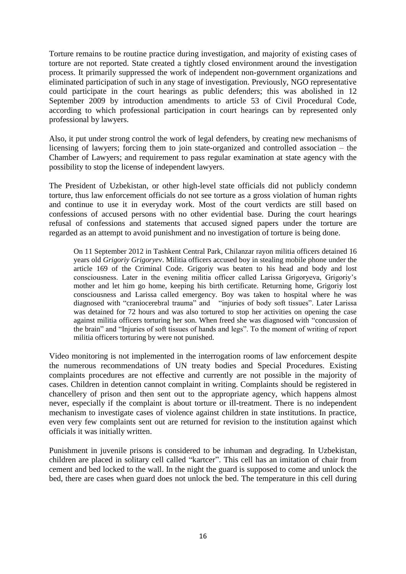Torture remains to be routine practice during investigation, and majority of existing cases of torture are not reported. State created a tightly closed environment around the investigation process. It primarily suppressed the work of independent non-government organizations and eliminated participation of such in any stage of investigation. Previously, NGO representative could participate in the court hearings as public defenders; this was abolished in 12 September 2009 by introduction amendments to article 53 of Civil Procedural Code, according to which professional participation in court hearings can by represented only professional by lawyers.

Also, it put under strong control the work of legal defenders, by creating new mechanisms of licensing of lawyers; forcing them to join state-organized and controlled association – the Chamber of Lawyers; and requirement to pass regular examination at state agency with the possibility to stop the license of independent lawyers.

The President of Uzbekistan, or other high-level state officials did not publicly condemn torture, thus law enforcement officials do not see torture as a gross violation of human rights and continue to use it in everyday work. Most of the court verdicts are still based on confessions of accused persons with no other evidential base. During the court hearings refusal of confessions and statements that accused signed papers under the torture are regarded as an attempt to avoid punishment and no investigation of torture is being done.

On 11 September 2012 in Tashkent Central Park, Chilanzar rayon militia officers detained 16 years old *Grigoriy Grigoryev*. Militia officers accused boy in stealing mobile phone under the article 169 of the Criminal Code. Grigoriy was beaten to his head and body and lost consciousness. Later in the evening militia officer called Larissa Grigoryeva, Grigoriy's mother and let him go home, keeping his birth certificate. Returning home, Grigoriy lost consciousness and Larissa called emergency. Boy was taken to hospital where he was diagnosed with "craniocerebral trauma" and "injuries of body soft tissues". Later Larissa was detained for 72 hours and was also tortured to stop her activities on opening the case against militia officers torturing her son. When freed she was diagnosed with ["concussion of](http://www.lingvo-online.ru/ru/Search/Translate/GlossaryItemExtraInfo?text=%d1%81%d0%be%d1%82%d1%80%d1%8f%d1%81%d0%b5%d0%bd%d0%b8%d0%b5%20%d0%bc%d0%be%d0%b7%d0%b3%d0%b0&translation=concussion%20of%20the%20brain&srcLang=ru&destLang=en)  [the brain"](http://www.lingvo-online.ru/ru/Search/Translate/GlossaryItemExtraInfo?text=%d1%81%d0%be%d1%82%d1%80%d1%8f%d1%81%d0%b5%d0%bd%d0%b8%d0%b5%20%d0%bc%d0%be%d0%b7%d0%b3%d0%b0&translation=concussion%20of%20the%20brain&srcLang=ru&destLang=en) and "Injuries of soft tissues of hands and legs". To the moment of writing of report militia officers torturing by were not punished.

Video monitoring is not implemented in the interrogation rooms of law enforcement despite the numerous recommendations of UN treaty bodies and Special Procedures. Existing complaints procedures are not effective and currently are not possible in the majority of cases. Children in detention cannot complaint in writing. Complaints should be registered in chancellery of prison and then sent out to the appropriate agency, which happens almost never, especially if the complaint is about torture or ill-treatment. There is no independent mechanism to investigate cases of violence against children in state institutions. In practice, even very few complaints sent out are returned for revision to the institution against which officials it was initially written.

Punishment in juvenile prisons is considered to be inhuman and degrading. In Uzbekistan, children are placed in solitary cell called "kartcer". This cell has an imitation of chair from cement and bed locked to the wall. In the night the guard is supposed to come and unlock the bed, there are cases when guard does not unlock the bed. The temperature in this cell during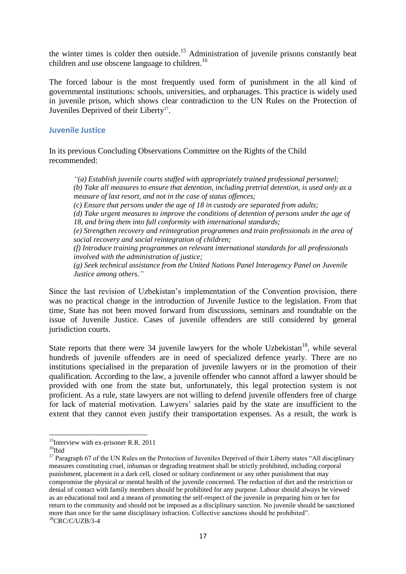the winter times is colder then outside.<sup>15</sup> Administration of juvenile prisons constantly beat children and use obscene language to children.<sup>16</sup>

The forced labour is the most frequently used form of punishment in the all kind of governmental institutions: schools, universities, and orphanages. This practice is widely used in juvenile prison, which shows clear contradiction to the UN Rules on the Protection of Juveniles Deprived of their Liberty<sup>17</sup>.

#### <span id="page-16-0"></span>**Juvenile Justice**

In its previous Concluding Observations Committee on the Rights of the Child recommended:

*"(a) Establish juvenile courts staffed with appropriately trained professional personnel; (b) Take all measures to ensure that detention, including pretrial detention, is used only as a measure of last resort, and not in the case of status offences; (c) Ensure that persons under the age of 18 in custody are separated from adults; (d) Take urgent measures to improve the conditions of detention of persons under the age of 18, and bring them into full conformity with international standards; (e) Strengthen recovery and reintegration programmes and train professionals in the area of social recovery and social reintegration of children; (f) Introduce training programmes on relevant international standards for all professionals involved with the administration of justice;*

*(g) Seek technical assistance from the United Nations Panel Interagency Panel on Juvenile Justice among others."*

Since the last revision of Uzbekistan's implementation of the Convention provision, there was no practical change in the introduction of Juvenile Justice to the legislation. From that time, State has not been moved forward from discussions, seminars and roundtable on the issue of Juvenile Justice. Cases of juvenile offenders are still considered by general jurisdiction courts.

State reports that there were 34 juvenile lawyers for the whole Uzbekistan<sup>18</sup>, while several hundreds of juvenile offenders are in need of specialized defence yearly. There are no institutions specialised in the preparation of juvenile lawyers or in the promotion of their qualification. According to the law, a juvenile offender who cannot afford a lawyer should be provided with one from the state but, unfortunately, this legal protection system is not proficient. As a rule, state lawyers are not willing to defend juvenile offenders free of charge for lack of material motivation. Lawyers' salaries paid by the state are insufficient to the extent that they cannot even justify their transportation expenses. As a result, the work is

 $15$ Interview with ex-prisoner R.R. 2011

 $16$ Ibid

<sup>&</sup>lt;sup>17</sup> Paragraph 67 of the UN Rules on the Protection of Juveniles Deprived of their Liberty states "All disciplinary measures constituting cruel, inhuman or degrading treatment shall be strictly prohibited, including corporal punishment, placement in a dark cell, closed or solitary confinement or any other punishment that may compromise the physical or mental health of the juvenile concerned. The reduction of diet and the restriction or denial of contact with family members should be prohibited for any purpose. Labour should always be viewed as an educational tool and a means of promoting the self-respect of the juvenile in preparing him or her for return to the community and should not be imposed as a disciplinary sanction. No juvenile should be sanctioned more than once for the same disciplinary infraction. Collective sanctions should be prohibited".

 ${}^{18}$ CRC/C/UZB/3-4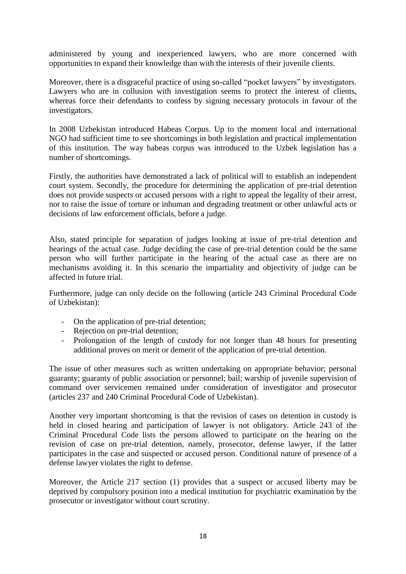administered by young and inexperienced lawyers, who are more concerned with opportunities to expand their knowledge than with the interests of their juvenile clients.

Moreover, there is a disgraceful practice of using so-called "pocket lawyers" by investigators. Lawyers who are in collusion with investigation seems to protect the interest of clients, whereas force their defendants to confess by signing necessary protocols in favour of the investigators.

In 2008 Uzbekistan introduced Habeas Corpus. Up to the moment local and international NGO had sufficient time to see shortcomings in both legislation and practical implementation of this institution. The way habeas corpus was introduced to the Uzbek legislation has a number of shortcomings.

Firstly, the authorities have demonstrated a lack of political will to establish an independent court system. Secondly, the procedure for determining the application of pre-trial detention does not provide suspects or accused persons with a right to appeal the legality of their arrest, nor to raise the issue of torture or inhuman and degrading treatment or other unlawful acts or decisions of law enforcement officials, before a judge.

Also, stated principle for separation of judges looking at issue of pre-trial detention and hearings of the actual case. Judge deciding the case of pre-trial detention could be the same person who will further participate in the hearing of the actual case as there are no mechanisms avoiding it. In this scenario the impartiality and objectivity of judge can be affected in future trial.

Furthermore, judge can only decide on the following (article 243 Criminal Procedural Code of Uzbekistan):

- On the application of pre-trial detention;
- Rejection on pre-trial detention;
- Prolongation of the length of custody for not longer than 48 hours for presenting additional proves on merit or demerit of the application of pre-trial detention.

The issue of other measures such as written undertaking on appropriate behavior; personal guaranty; guaranty of public association or personnel; bail; warship of juvenile supervision of command over servicemen remained under consideration of investigator and prosecutor (articles 237 and 240 Criminal Procedural Code of Uzbekistan).

Another very important shortcoming is that the revision of cases on detention in custody is held in closed hearing and participation of lawyer is not obligatory. Article 243 of the Criminal Procedural Code lists the persons allowed to participate on the hearing on the revision of case on pre-trial detention, namely, prosecutor, defense lawyer, if the latter participates in the case and suspected or accused person. Conditional nature of presence of a defense lawyer violates the right to defense.

Moreover, the Article 217 section (1) provides that a suspect or accused liberty may be deprived by compulsory position into a medical institution for psychiatric examination by the prosecutor or investigator without court scrutiny.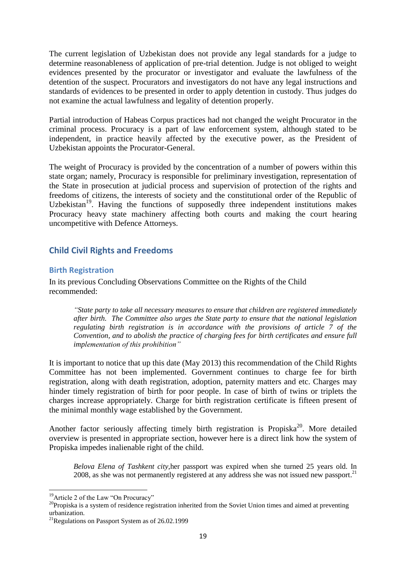The current legislation of Uzbekistan does not provide any legal standards for a judge to determine reasonableness of application of pre-trial detention. Judge is not obliged to weight evidences presented by the procurator or investigator and evaluate the lawfulness of the detention of the suspect. Procurators and investigators do not have any legal instructions and standards of evidences to be presented in order to apply detention in custody. Thus judges do not examine the actual lawfulness and legality of detention properly.

Partial introduction of Habeas Corpus practices had not changed the weight Procurator in the criminal process. Procuracy is a part of law enforcement system, although stated to be independent, in practice heavily affected by the executive power, as the President of Uzbekistan appoints the Procurator-General.

The weight of Procuracy is provided by the concentration of a number of powers within this state organ; namely, Procuracy is responsible for preliminary investigation, representation of the State in prosecution at judicial process and supervision of protection of the rights and freedoms of citizens, the interests of society and the constitutional order of the Republic of Uzbekistan<sup>19</sup>. Having the functions of supposedly three independent institutions makes Procuracy heavy state machinery affecting both courts and making the court hearing uncompetitive with Defence Attorneys.

# <span id="page-18-0"></span>**Child Civil Rights and Freedoms**

## <span id="page-18-1"></span>**Birth Registration**

In its previous Concluding Observations Committee on the Rights of the Child recommended:

*"State party to take all necessary measures to ensure that children are registered immediately after birth. The Committee also urges the State party to ensure that the national legislation regulating birth registration is in accordance with the provisions of article 7 of the Convention, and to abolish the practice of charging fees for birth certificates and ensure full implementation of this prohibition"*

It is important to notice that up this date (May 2013) this recommendation of the Child Rights Committee has not been implemented. Government continues to charge fee for birth registration, along with death registration, adoption, paternity matters and etc. Charges may hinder timely registration of birth for poor people. In case of birth of twins or triplets the charges increase appropriately. Charge for birth registration certificate is fifteen present of the minimal monthly wage established by the Government.

Another factor seriously affecting timely birth registration is Propiska<sup>20</sup>. More detailed overview is presented in appropriate section, however here is a direct link how the system of Propiska impedes inalienable right of the child.

*Belova Elena of Tashkent city,*her passport was expired when she turned 25 years old. In 2008, as she was not permanently registered at any address she was not issued new passport.<sup>21</sup>

<sup>&</sup>lt;sup>19</sup>Article 2 of the Law "On Procuracy"

<sup>&</sup>lt;sup>20</sup>Propiska is a system of residence registration inherited from the Soviet Union times and aimed at preventing urbanization.

 $^{21}$ Regulations on Passport System as of 26.02.1999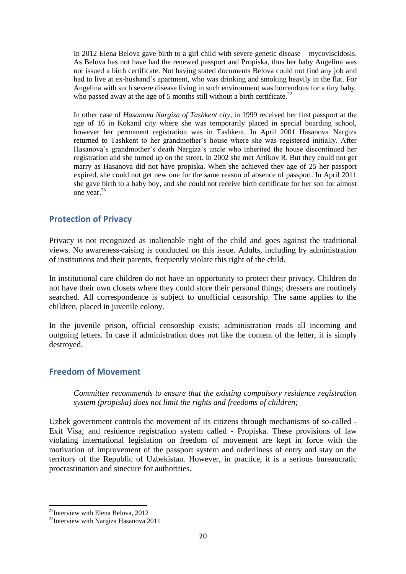In 2012 Elena Belova gave birth to a girl child with severe genetic disease – mycoviscidosis. As Belova has not have had the renewed passport and Propiska, thus her baby Angelina was not issued a birth certificate. Not having stated documents Belova could not find any job and had to live at ex-husband's apartment, who was drinking and smoking heavily in the flat. For Angelina with such severe disease living in such environment was horrendous for a tiny baby, who passed away at the age of 5 months still without a birth certificate.<sup>22</sup>

In other case of *Hasanova Nargiza of Tashkent city,* in 1999 received her first passport at the age of 16 in Kokand city where she was temporarily placed in special boarding school, however her permanent registration was in Tashkent. In April 2001 Hasanova Nargiza returned to Tashkent to her grandmother's house where she was registered initially. After Hasanova's grandmother's death Nargiza's uncle who inherited the house discontinued her registration and she turned up on the street. In 2002 she met Artikov R. But they could not get marry as Hasanova did not have propiska. When she achieved they age of 25 her passport expired, she could not get new one for the same reason of absence of passport. In April 2011 she gave birth to a baby boy, and she could not receive birth certificate for her son for almost one year.<sup>23</sup>

# <span id="page-19-0"></span>**Protection of Privacy**

Privacy is not recognized as inalienable right of the child and goes against the traditional views. No awareness-raising is conducted on this issue. Adults, including by administration of institutions and their parents, frequently violate this right of the child.

In institutional care children do not have an opportunity to protect their privacy. Children do not have their own closets where they could store their personal things; dressers are routinely searched. All correspondence is subject to unofficial censorship. The same applies to the children, placed in juvenile colony.

In the juvenile prison, official censorship exists; administration reads all incoming and outgoing letters. In case if administration does not like the content of the letter, it is simply destroyed.

## <span id="page-19-1"></span>**Freedom of Movement**

*Committee recommends to ensure that the existing compulsory residence registration system (propiska) does not limit the rights and freedoms of children;*

Uzbek government controls the movement of its citizens through mechanisms of so-called - Exit Visa; and residence registration system called - Propiska. These provisions of law violating international legislation on freedom of movement are kept in force with the motivation of improvement of the passport system and orderliness of entry and stay on the territory of the Republic of Uzbekistan. However, in practice, it is a serious bureaucratic procrastination and sinecure for authorities.

**<sup>.</sup>**  $^{22}$ Interview with Elena Belova, 2012

<sup>&</sup>lt;sup>23</sup>Interview with Nargiza Hasanova 2011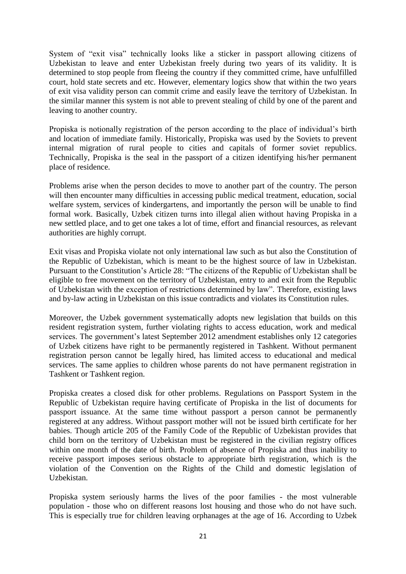System of "exit visa" technically looks like a sticker in passport allowing citizens of Uzbekistan to leave and enter Uzbekistan freely during two years of its validity. It is determined to stop people from fleeing the country if they committed crime, have unfulfilled court, hold state secrets and etc. However, elementary logics show that within the two years of exit visa validity person can commit crime and easily leave the territory of Uzbekistan. In the similar manner this system is not able to prevent stealing of child by one of the parent and leaving to another country.

Propiska is notionally registration of the person according to the place of individual's birth and location of immediate family. Historically, Propiska was used by the Soviets to prevent internal migration of rural people to cities and capitals of former soviet republics. Technically, Propiska is the seal in the passport of a citizen identifying his/her permanent place of residence.

Problems arise when the person decides to move to another part of the country. The person will then encounter many difficulties in accessing public medical treatment, education, social welfare system, services of kindergartens, and importantly the person will be unable to find formal work. Basically, Uzbek citizen turns into illegal alien without having Propiska in a new settled place, and to get one takes a lot of time, effort and financial resources, as relevant authorities are highly corrupt.

Exit visas and Propiska violate not only international law such as but also the Constitution of the Republic of Uzbekistan, which is meant to be the highest source of law in Uzbekistan. Pursuant to the Constitution's Article 28: "The citizens of the Republic of Uzbekistan shall be eligible to free movement on the territory of Uzbekistan, entry to and exit from the Republic of Uzbekistan with the exception of restrictions determined by law". Therefore, existing laws and by-law acting in Uzbekistan on this issue contradicts and violates its Constitution rules.

Moreover, the Uzbek government systematically adopts new legislation that builds on this resident registration system, further violating rights to access education, work and medical services. The government's latest September 2012 amendment establishes only 12 categories of Uzbek citizens have right to be permanently registered in Tashkent. Without permanent registration person cannot be legally hired, has limited access to educational and medical services. The same applies to children whose parents do not have permanent registration in Tashkent or Tashkent region.

Propiska creates a closed disk for other problems. Regulations on Passport System in the Republic of Uzbekistan require having certificate of Propiska in the list of documents for passport issuance. At the same time without passport a person cannot be permanently registered at any address. Without passport mother will not be issued birth certificate for her babies. Though article 205 of the Family Code of the Republic of Uzbekistan provides that child born on the territory of Uzbekistan must be registered in the civilian registry offices within one month of the date of birth. Problem of absence of Propiska and thus inability to receive passport imposes serious obstacle to appropriate birth registration, which is the violation of the Convention on the Rights of the Child and domestic legislation of Uzbekistan.

Propiska system seriously harms the lives of the poor families - the most vulnerable population - those who on different reasons lost housing and those who do not have such. This is especially true for children leaving orphanages at the age of 16. According to Uzbek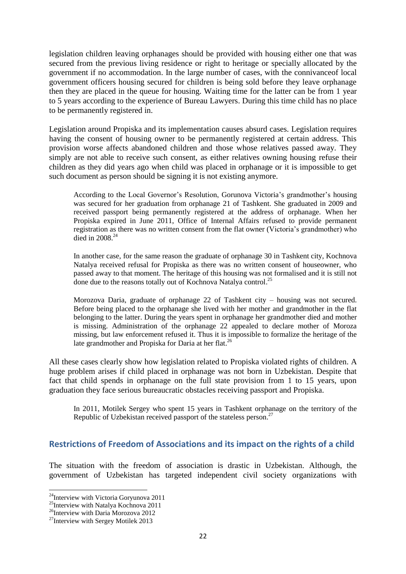legislation children leaving orphanages should be provided with housing either one that was secured from the previous living residence or right to heritage or specially allocated by the government if no accommodation. In the large number of cases, with the connivanceof local government officers housing secured for children is being sold before they leave orphanage then they are placed in the queue for housing. Waiting time for the latter can be from 1 year to 5 years according to the experience of Bureau Lawyers. During this time child has no place to be permanently registered in.

Legislation around Propiska and its implementation causes absurd cases. Legislation requires having the consent of housing owner to be permanently registered at certain address. This provision worse affects abandoned children and those whose relatives passed away. They simply are not able to receive such consent, as either relatives owning housing refuse their children as they did years ago when child was placed in orphanage or it is impossible to get such document as person should be signing it is not existing anymore.

According to the Local Governor's Resolution, Gorunova Victoria's grandmother's housing was secured for her graduation from orphanage 21 of Tashkent. She graduated in 2009 and received passport being permanently registered at the address of orphanage. When her Propiska expired in June 2011, Office of Internal Affairs refused to provide permanent registration as there was no written consent from the flat owner (Victoria's grandmother) who died in 2008. 24

In another case, for the same reason the graduate of orphanage 30 in Tashkent city, Kochnova Natalya received refusal for Propiska as there was no written consent of houseowner, who passed away to that moment. The heritage of this housing was not formalised and it is still not done due to the reasons totally out of Kochnova Natalya control.<sup>25</sup>

Morozova Daria, graduate of orphanage 22 of Tashkent city – housing was not secured. Before being placed to the orphanage she lived with her mother and grandmother in the flat belonging to the latter. During the years spent in orphanage her grandmother died and mother is missing. Administration of the orphanage 22 appealed to declare mother of Moroza missing, but law enforcement refused it. Thus it is impossible to formalize the heritage of the late grandmother and Propiska for Daria at her flat.<sup>26</sup>

All these cases clearly show how legislation related to Propiska violated rights of children. A huge problem arises if child placed in orphanage was not born in Uzbekistan. Despite that fact that child spends in orphanage on the full state provision from 1 to 15 years, upon graduation they face serious bureaucratic obstacles receiving passport and Propiska.

In 2011, Motilek Sergey who spent 15 years in Tashkent orphanage on the territory of the Republic of Uzbekistan received passport of the stateless person.<sup>27</sup>

# <span id="page-21-0"></span>**Restrictions of Freedom of Associations and its impact on the rights of a child**

The situation with the freedom of association is drastic in Uzbekistan. Although, the government of Uzbekistan has targeted independent civil society organizations with

 $^{24}$ Interview with Victoria Goryunova 2011

<sup>&</sup>lt;sup>25</sup>Interview with Natalya Kochnova 2011

<sup>&</sup>lt;sup>26</sup>Interview with Daria Morozova 2012

<sup>&</sup>lt;sup>27</sup>Interview with Sergey Motilek 2013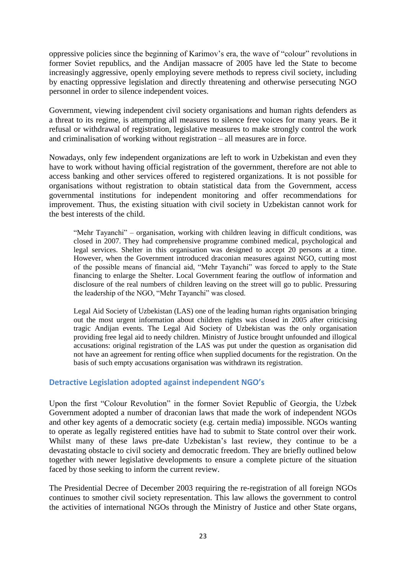oppressive policies since the beginning of Karimov's era, the wave of "colour" revolutions in former Soviet republics, and the Andijan massacre of 2005 have led the State to become increasingly aggressive, openly employing severe methods to repress civil society, including by enacting oppressive legislation and directly threatening and otherwise persecuting NGO personnel in order to silence independent voices.

Government, viewing independent civil society organisations and human rights defenders as a threat to its regime, is attempting all measures to silence free voices for many years. Be it refusal or withdrawal of registration, legislative measures to make strongly control the work and criminalisation of working without registration – all measures are in force.

Nowadays, only few independent organizations are left to work in Uzbekistan and even they have to work without having official registration of the government, therefore are not able to access banking and other services offered to registered organizations. It is not possible for organisations without registration to obtain statistical data from the Government, access governmental institutions for independent monitoring and offer recommendations for improvement. Thus, the existing situation with civil society in Uzbekistan cannot work for the best interests of the child.

"Mehr Tayanchi" – organisation, working with children leaving in difficult conditions, was closed in 2007. They had comprehensive programme combined medical, psychological and legal services. Shelter in this organisation was designed to accept 20 persons at a time. However, when the Government introduced draconian measures against NGO, cutting most of the possible means of financial aid, "Mehr Tayanchi" was forced to apply to the State financing to enlarge the Shelter. Local Government fearing the outflow of information and disclosure of the real numbers of children leaving on the street will go to public. Pressuring the leadership of the NGO, "Mehr Tayanchi" was closed.

Legal Aid Society of Uzbekistan (LAS) one of the leading human rights organisation bringing out the most urgent information about children rights was closed in 2005 after criticising tragic Andijan events. The Legal Aid Society of Uzbekistan was the only organisation providing free legal aid to needy children. Ministry of Justice brought unfounded and illogical accusations: original registration of the LAS was put under the question as organisation did not have an agreement for renting office when supplied documents for the registration. On the basis of such empty accusations organisation was withdrawn its registration.

## <span id="page-22-0"></span>**Detractive Legislation adopted against independent NGO's**

Upon the first "Colour Revolution" in the former Soviet Republic of Georgia, the Uzbek Government adopted a number of draconian laws that made the work of independent NGOs and other key agents of a democratic society (e.g. certain media) impossible. NGOs wanting to operate as legally registered entities have had to submit to State control over their work. Whilst many of these laws pre-date Uzbekistan's last review, they continue to be a devastating obstacle to civil society and democratic freedom. They are briefly outlined below together with newer legislative developments to ensure a complete picture of the situation faced by those seeking to inform the current review.

The Presidential Decree of December 2003 requiring the re-registration of all foreign NGOs continues to smother civil society representation. This law allows the government to control the activities of international NGOs through the Ministry of Justice and other State organs,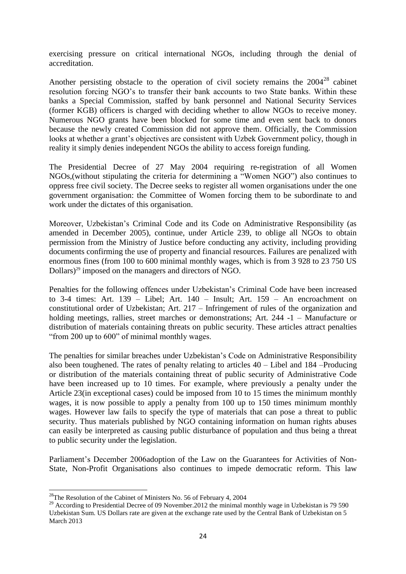exercising pressure on critical international NGOs, including through the denial of accreditation.

Another persisting obstacle to the operation of civil society remains the  $2004^{28}$  cabinet resolution forcing NGO's to transfer their bank accounts to two State banks. Within these banks a Special Commission, staffed by bank personnel and National Security Services (former KGB) officers is charged with deciding whether to allow NGOs to receive money. Numerous NGO grants have been blocked for some time and even sent back to donors because the newly created Commission did not approve them. Officially, the Commission looks at whether a grant's objectives are consistent with Uzbek Government policy, though in reality it simply denies independent NGOs the ability to access foreign funding.

The Presidential Decree of 27 May 2004 requiring re-registration of all Women NGOs,(without stipulating the criteria for determining a "Women NGO") also continues to oppress free civil society. The Decree seeks to register all women organisations under the one government organisation: the Committee of Women forcing them to be subordinate to and work under the dictates of this organisation.

Moreover, Uzbekistan's Criminal Code and its Code on Administrative Responsibility (as amended in December 2005), continue, under Article 239, to oblige all NGOs to obtain permission from the Ministry of Justice before conducting any activity, including providing documents confirming the use of property and financial resources. Failures are penalized with enormous fines (from 100 to 600 minimal monthly wages, which is from 3 928 to 23 750 US Dollars) <sup>29</sup> imposed on the managers and directors of NGO.

Penalties for the following offences under Uzbekistan's Criminal Code have been increased to 3-4 times: Art. 139 – Libel; Art. 140 – Insult; Art. 159 – An encroachment on constitutional order of Uzbekistan; Art. 217 – Infringement of rules of the organization and holding meetings, rallies, street marches or demonstrations; Art. 244 -1 – Manufacture or distribution of materials containing threats on public security. These articles attract penalties "from 200 up to 600" of minimal monthly wages.

The penalties for similar breaches under Uzbekistan's Code on Administrative Responsibility also been toughened. The rates of penalty relating to articles 40 – Libel and 184 –Producing or distribution of the materials containing threat of public security of Administrative Code have been increased up to 10 times. For example, where previously a penalty under the Article 23(in exceptional cases) could be imposed from 10 to 15 times the minimum monthly wages, it is now possible to apply a penalty from 100 up to 150 times minimum monthly wages. However law fails to specify the type of materials that can pose a threat to public security. Thus materials published by NGO containing information on human rights abuses can easily be interpreted as causing public disturbance of population and thus being a threat to public security under the legislation.

Parliament's December 2006adoption of the Law on the Guarantees for Activities of Non-State, Non-Profit Organisations also continues to impede democratic reform. This law

<sup>&</sup>lt;sup>28</sup>The Resolution of the Cabinet of Ministers No. 56 of February 4, 2004

<sup>&</sup>lt;sup>29</sup> According to Presidential Decree of 09 November.2012 the minimal monthly wage in Uzbekistan is 79 590 Uzbekistan Sum. US Dollars rate are given at the exchange rate used by the Central Bank of Uzbekistan on 5 March 2013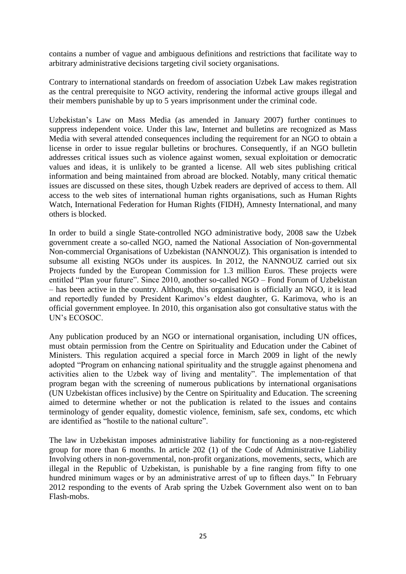contains a number of vague and ambiguous definitions and restrictions that facilitate way to arbitrary administrative decisions targeting civil society organisations.

Contrary to international standards on freedom of association Uzbek Law makes registration as the central prerequisite to NGO activity, rendering the informal active groups illegal and their members punishable by up to 5 years imprisonment under the criminal code.

Uzbekistan's Law on Mass Media (as amended in January 2007) further continues to suppress independent voice. Under this law, Internet and bulletins are recognized as Mass Media with several attended consequences including the requirement for an NGO to obtain a license in order to issue regular bulletins or brochures. Consequently, if an NGO bulletin addresses critical issues such as violence against women, sexual exploitation or democratic values and ideas, it is unlikely to be granted a license. All web sites publishing critical information and being maintained from abroad are blocked. Notably, many critical thematic issues are discussed on these sites, though Uzbek readers are deprived of access to them. All access to the web sites of international human rights organisations, such as Human Rights Watch, International Federation for Human Rights (FIDH), Amnesty International, and many others is blocked.

In order to build a single State-controlled NGO administrative body, 2008 saw the Uzbek government create a so-called NGO, named the National Association of Non-governmental Non-commercial Organisations of Uzbekistan (NANNOUZ). This organisation is intended to subsume all existing NGOs under its auspices. In 2012, the NANNOUZ carried out six Projects funded by the European Commission for 1.3 million Euros. These projects were entitled "Plan your future". Since 2010, another so-called NGO – Fond Forum of Uzbekistan – has been active in the country. Although, this organisation is officially an NGO, it is lead and reportedly funded by President Karimov's eldest daughter, G. Karimova, who is an official government employee. In 2010, this organisation also got consultative status with the UN's ECOSOC.

Any publication produced by an NGO or international organisation, including UN offices, must obtain permission from the Centre on Spirituality and Education under the Cabinet of Ministers. This regulation acquired a special force in March 2009 in light of the newly adopted "Program on enhancing national spirituality and the struggle against phenomena and activities alien to the Uzbek way of living and mentality". The implementation of that program began with the screening of numerous publications by international organisations (UN Uzbekistan offices inclusive) by the Centre on Spirituality and Education. The screening aimed to determine whether or not the publication is related to the issues and contains terminology of gender equality, domestic violence, feminism, safe sex, condoms, etc which are identified as "hostile to the national culture".

The law in Uzbekistan imposes administrative liability for functioning as a non-registered group for more than 6 months. In article 202 (1) of the Code of Administrative Liability Involving others in non-governmental, non-profit organizations, movements, sects, which are illegal in the Republic of Uzbekistan, is punishable by a fine ranging from fifty to one hundred minimum wages or by an administrative arrest of up to fifteen days." In February 2012 responding to the events of Arab spring the Uzbek Government also went on to ban Flash-mobs.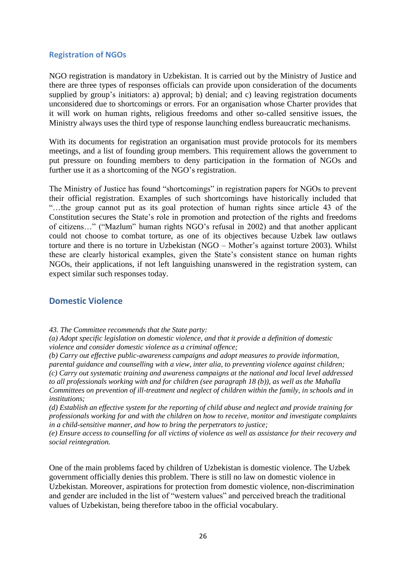#### <span id="page-25-0"></span>**Registration of NGOs**

NGO registration is mandatory in Uzbekistan. It is carried out by the Ministry of Justice and there are three types of responses officials can provide upon consideration of the documents supplied by group's initiators: a) approval; b) denial; and c) leaving registration documents unconsidered due to shortcomings or errors. For an organisation whose Charter provides that it will work on human rights, religious freedoms and other so-called sensitive issues, the Ministry always uses the third type of response launching endless bureaucratic mechanisms.

With its documents for registration an organisation must provide protocols for its members meetings, and a list of founding group members. This requirement allows the government to put pressure on founding members to deny participation in the formation of NGOs and further use it as a shortcoming of the NGO's registration.

The Ministry of Justice has found "shortcomings" in registration papers for NGOs to prevent their official registration. Examples of such shortcomings have historically included that "…the group cannot put as its goal protection of human rights since article 43 of the Constitution secures the State's role in promotion and protection of the rights and freedoms of citizens…" ("Mazlum" human rights NGO's refusal in 2002) and that another applicant could not choose to combat torture, as one of its objectives because Uzbek law outlaws torture and there is no torture in Uzbekistan (NGO – Mother's against torture 2003). Whilst these are clearly historical examples, given the State's consistent stance on human rights NGOs, their applications, if not left languishing unanswered in the registration system, can expect similar such responses today.

## <span id="page-25-1"></span>**Domestic Violence**

*43. The Committee recommends that the State party:*

*(a) Adopt specific legislation on domestic violence, and that it provide a definition of domestic violence and consider domestic violence as a criminal offence;*

*(b) Carry out effective public-awareness campaigns and adopt measures to provide information, parental guidance and counselling with a view, inter alia, to preventing violence against children; (c) Carry out systematic training and awareness campaigns at the national and local level addressed to all professionals working with and for children (see paragraph 18 (b)), as well as the Mahalla Committees on prevention of ill-treatment and neglect of children within the family, in schools and in institutions;*

*(d) Establish an effective system for the reporting of child abuse and neglect and provide training for professionals working for and with the children on how to receive, monitor and investigate complaints in a child-sensitive manner, and how to bring the perpetrators to justice;*

*(e) Ensure access to counselling for all victims of violence as well as assistance for their recovery and social reintegration.*

One of the main problems faced by children of Uzbekistan is domestic violence. The Uzbek government officially denies this problem. There is still no law on domestic violence in Uzbekistan. Moreover, aspirations for protection from domestic violence, non-discrimination and gender are included in the list of "western values" and perceived breach the traditional values of Uzbekistan, being therefore taboo in the official vocabulary.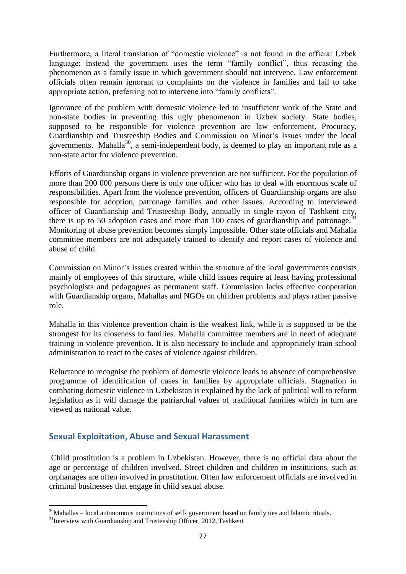Furthermore, a literal translation of "domestic violence" is not found in the official Uzbek language; instead the government uses the term "family conflict", thus recasting the phenomenon as a family issue in which government should not intervene. Law enforcement officials often remain ignorant to complaints on the violence in families and fail to take appropriate action, preferring not to intervene into "family conflicts".

Ignorance of the problem with domestic violence led to insufficient work of the State and non-state bodies in preventing this ugly phenomenon in Uzbek society. State bodies, supposed to be responsible for violence prevention are law enforcement, Procuracy, Guardianship and Trusteeship Bodies and Commission on Minor's Issues under the local governments. Mahalla<sup>30</sup>, a semi-independent body, is deemed to play an important role as a non-state actor for violence prevention.

Efforts of Guardianship organs in violence prevention are not sufficient. For the population of more than 200 000 persons there is only one officer who has to deal with enormous scale of responsibilities. Apart from the violence prevention, officers of Guardianship organs are also responsible for adoption, patronage families and other issues. According to interviewed officer of Guardianship and Trusteeship Body, annually in single rayon of Tashkent city, there is up to 50 adoption cases and more than 100 cases of guardianship and patronage.<sup>31</sup> Monitoring of abuse prevention becomes simply impossible. Other state officials and Mahalla committee members are not adequately trained to identify and report cases of violence and abuse of child.

Commission on Minor's Issues created within the structure of the local governments consists mainly of employees of this structure, while child issues require at least having professional psychologists and pedagogues as permanent staff. Commission lacks effective cooperation with Guardianship organs, Mahallas and NGOs on children problems and plays rather passive role.

Mahalla in this violence prevention chain is the weakest link, while it is supposed to be the strongest for its closeness to families. Mahalla committee members are in need of adequate training in violence prevention. It is also necessary to include and appropriately train school administration to react to the cases of violence against children.

Reluctance to recognise the problem of domestic violence leads to absence of comprehensive programme of identification of cases in families by appropriate officials. Stagnation in combating domestic violence in Uzbekistan is explained by the lack of political will to reform legislation as it will damage the patriarchal values of traditional families which in turn are viewed as national value.

# <span id="page-26-0"></span>**Sexual Exploitation, Abuse and Sexual Harassment**

Child prostitution is a problem in Uzbekistan. However, there is no official data about the age or percentage of children involved. Street children and children in institutions, such as orphanages are often involved in prostitution. Often law enforcement officials are involved in criminal businesses that engage in child sexual abuse.

**<sup>.</sup>**  $30$ Mahallas – local autonomous institutions of self-government based on family ties and Islamic rituals.

<sup>&</sup>lt;sup>31</sup>Interview with Guardianship and Trusteeship Officer, 2012, Tashkent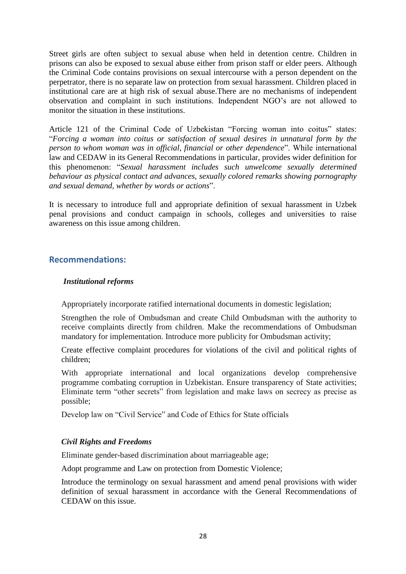Street girls are often subject to sexual abuse when held in detention centre. Children in prisons can also be exposed to sexual abuse either from prison staff or elder peers. Although the Criminal Code contains provisions on sexual intercourse with a person dependent on the perpetrator, there is no separate law on protection from sexual harassment. Children placed in institutional care are at high risk of sexual abuse.There are no mechanisms of independent observation and complaint in such institutions. Independent NGO's are not allowed to monitor the situation in these institutions.

Article 121 of the Criminal Code of Uzbekistan "Forcing woman into coitus" states: "*Forcing a woman into coitus or satisfaction of sexual desires in unnatural form by the person to whom woman was in official, financial or other dependence*". While international law and CEDAW in its General Recommendations in particular, provides wider definition for this phenomenon: "*Sexual harassment includes such unwelcome sexually determined behaviour as physical contact and advances, sexually colored remarks showing pornography and sexual demand, whether by words or actions*".

It is necessary to introduce full and appropriate definition of sexual harassment in Uzbek penal provisions and conduct campaign in schools, colleges and universities to raise awareness on this issue among children.

# <span id="page-27-0"></span>**Recommendations:**

#### *Institutional reforms*

Appropriately incorporate ratified international documents in domestic legislation;

Strengthen the role of Ombudsman and create Child Ombudsman with the authority to receive complaints directly from children. Make the recommendations of Ombudsman mandatory for implementation. Introduce more publicity for Ombudsman activity;

Create effective complaint procedures for violations of the civil and political rights of children;

With appropriate international and local organizations develop comprehensive programme combating corruption in Uzbekistan. Ensure transparency of State activities; Eliminate term "other secrets" from legislation and make laws on secrecy as precise as possible;

Develop law on "Civil Service" and Code of Ethics for State officials

## *Civil Rights and Freedoms*

Eliminate gender-based discrimination about marriageable age;

Adopt programme and Law on protection from Domestic Violence;

Introduce the terminology on sexual harassment and amend penal provisions with wider definition of sexual harassment in accordance with the General Recommendations of CEDAW on this issue.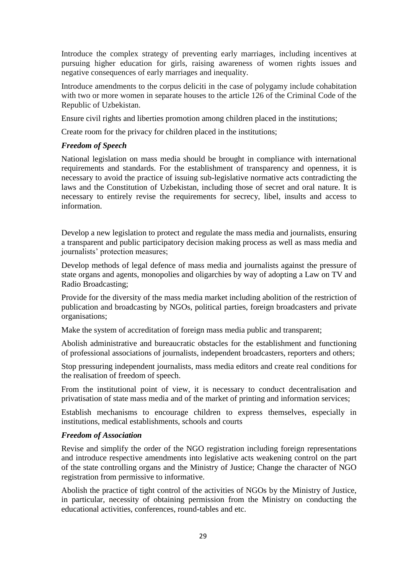Introduce the complex strategy of preventing early marriages, including incentives at pursuing higher education for girls, raising awareness of women rights issues and negative consequences of early marriages and inequality.

Introduce amendments to the corpus deliciti in the case of polygamy include cohabitation with two or more women in separate houses to the article 126 of the Criminal Code of the Republic of Uzbekistan.

Ensure civil rights and liberties promotion among children placed in the institutions;

Create room for the privacy for children placed in the institutions;

#### *Freedom of Speech*

National legislation on mass media should be brought in compliance with international requirements and standards. For the establishment of transparency and openness, it is necessary to avoid the practice of issuing sub-legislative normative acts contradicting the laws and the Constitution of Uzbekistan, including those of secret and oral nature. It is necessary to entirely revise the requirements for secrecy, libel, insults and access to information.

Develop a new legislation to protect and regulate the mass media and journalists, ensuring a transparent and public participatory decision making process as well as mass media and journalists' protection measures;

Develop methods of legal defence of mass media and journalists against the pressure of state organs and agents, monopolies and oligarchies by way of adopting a Law on TV and Radio Broadcasting;

Provide for the diversity of the mass media market including abolition of the restriction of publication and broadcasting by NGOs, political parties, foreign broadcasters and private organisations;

Make the system of accreditation of foreign mass media public and transparent;

Abolish administrative and bureaucratic obstacles for the establishment and functioning of professional associations of journalists, independent broadcasters, reporters and others;

Stop pressuring independent journalists, mass media editors and create real conditions for the realisation of freedom of speech.

From the institutional point of view, it is necessary to conduct decentralisation and privatisation of state mass media and of the market of printing and information services;

Establish mechanisms to encourage children to express themselves, especially in institutions, medical establishments, schools and courts

#### *Freedom of Association*

Revise and simplify the order of the NGO registration including foreign representations and introduce respective amendments into legislative acts weakening control on the part of the state controlling organs and the Ministry of Justice; Change the character of NGO registration from permissive to informative.

Abolish the practice of tight control of the activities of NGOs by the Ministry of Justice, in particular, necessity of obtaining permission from the Ministry on conducting the educational activities, conferences, round-tables and etc.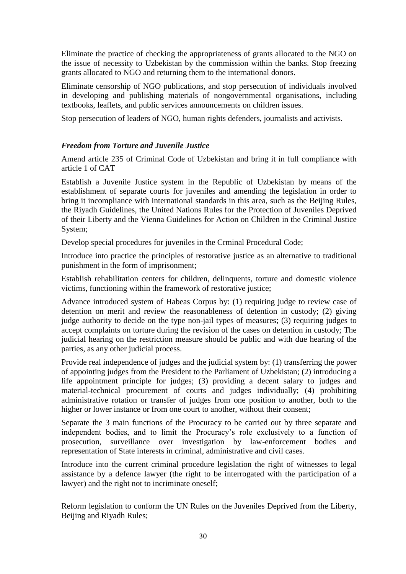Eliminate the practice of checking the appropriateness of grants allocated to the NGO on the issue of necessity to Uzbekistan by the commission within the banks. Stop freezing grants allocated to NGO and returning them to the international donors.

Eliminate censorship of NGO publications, and stop persecution of individuals involved in developing and publishing materials of nongovernmental organisations, including textbooks, leaflets, and public services announcements on children issues.

Stop persecution of leaders of NGO, human rights defenders, journalists and activists.

#### *Freedom from Torture and Juvenile Justice*

Amend article 235 of Criminal Code of Uzbekistan and bring it in full compliance with article 1 of CAT

Establish a Juvenile Justice system in the Republic of Uzbekistan by means of the establishment of separate courts for juveniles and amending the legislation in order to bring it incompliance with international standards in this area, such as the Beijing Rules, the Riyadh Guidelines, the United Nations Rules for the Protection of Juveniles Deprived of their Liberty and the Vienna Guidelines for Action on Children in the Criminal Justice System;

Develop special procedures for juveniles in the Crminal Procedural Code;

Introduce into practice the principles of restorative justice as an alternative to traditional punishment in the form of imprisonment;

Establish rehabilitation centers for children, delinquents, torture and domestic violence victims, functioning within the framework of restorative justice;

Advance introduced system of Habeas Corpus by: (1) requiring judge to review case of detention on merit and review the reasonableness of detention in custody; (2) giving judge authority to decide on the type non-jail types of measures; (3) requiring judges to accept complaints on torture during the revision of the cases on detention in custody; The judicial hearing on the restriction measure should be public and with due hearing of the parties, as any other judicial process.

Provide real independence of judges and the judicial system by: (1) transferring the power of appointing judges from the President to the Parliament of Uzbekistan; (2) introducing a life appointment principle for judges; (3) providing a decent salary to judges and material-technical procurement of courts and judges individually; (4) prohibiting administrative rotation or transfer of judges from one position to another, both to the higher or lower instance or from one court to another, without their consent;

Separate the 3 main functions of the Procuracy to be carried out by three separate and independent bodies, and to limit the Procuracy's role exclusively to a function of prosecution, surveillance over investigation by law-enforcement bodies and representation of State interests in criminal, administrative and civil cases.

Introduce into the current criminal procedure legislation the right of witnesses to legal assistance by a defence lawyer (the right to be interrogated with the participation of a lawyer) and the right not to incriminate oneself;

Reform legislation to conform the UN Rules on the Juveniles Deprived from the Liberty, Beijing and Riyadh Rules;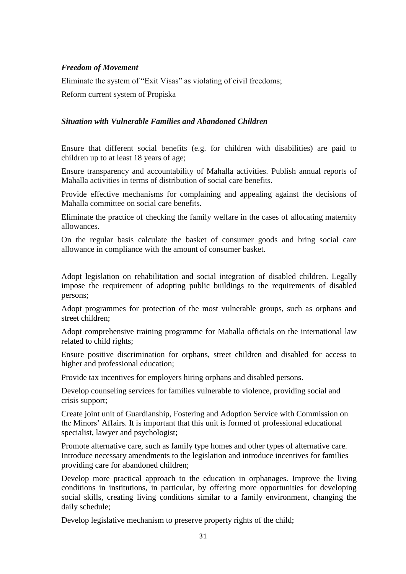#### *Freedom of Movement*

Eliminate the system of "Exit Visas" as violating of civil freedoms;

Reform current system of Propiska

#### *Situation with Vulnerable Families and Abandoned Children*

Ensure that different social benefits (e.g. for children with disabilities) are paid to children up to at least 18 years of age;

Ensure transparency and accountability of Mahalla activities. Publish annual reports of Mahalla activities in terms of distribution of social care benefits.

Provide effective mechanisms for complaining and appealing against the decisions of Mahalla committee on social care benefits.

Eliminate the practice of checking the family welfare in the cases of allocating maternity allowances.

On the regular basis calculate the basket of consumer goods and bring social care allowance in compliance with the amount of consumer basket.

Adopt legislation on rehabilitation and social integration of disabled children. Legally impose the requirement of adopting public buildings to the requirements of disabled persons;

Adopt programmes for protection of the most vulnerable groups, such as orphans and street children;

Adopt comprehensive training programme for Mahalla officials on the international law related to child rights;

Ensure positive discrimination for orphans, street children and disabled for access to higher and professional education;

Provide tax incentives for employers hiring orphans and disabled persons.

Develop counseling services for families vulnerable to violence, providing social and crisis support;

Create joint unit of Guardianship, Fostering and Adoption Service with Commission on the Minors' Affairs. It is important that this unit is formed of professional educational specialist, lawyer and psychologist;

Promote alternative care, such as family type homes and other types of alternative care. Introduce necessary amendments to the legislation and introduce incentives for families providing care for abandoned children;

Develop more practical approach to the education in orphanages. Improve the living conditions in institutions, in particular, by offering more opportunities for developing social skills, creating living conditions similar to a family environment, changing the daily schedule;

Develop legislative mechanism to preserve property rights of the child;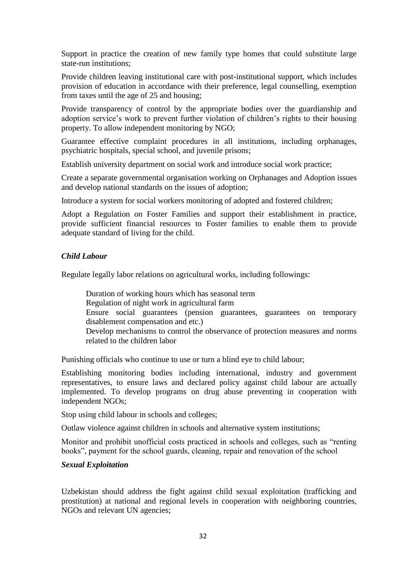Support in practice the creation of new family type homes that could substitute large state-run institutions;

Provide children leaving institutional care with post-institutional support, which includes provision of education in accordance with their preference, legal counselling, exemption from taxes until the age of 25 and housing;

Provide transparency of control by the appropriate bodies over the guardianship and adoption service's work to prevent further violation of children's rights to their housing property. To allow independent monitoring by NGO;

Guarantee effective complaint procedures in all institutions, including orphanages, psychiatric hospitals, special school, and juvenile prisons;

Establish university department on social work and introduce social work practice;

Create a separate governmental organisation working on Orphanages and Adoption issues and develop national standards on the issues of adoption;

Introduce a system for social workers monitoring of adopted and fostered children;

Adopt a Regulation on Foster Families and support their establishment in practice, provide sufficient financial resources to Foster families to enable them to provide adequate standard of living for the child.

## *Child Labour*

Regulate legally labor relations on agricultural works, including followings:

Duration of working hours which has seasonal term Regulation of night work in agricultural farm Ensure social guarantees (pension guarantees, guarantees on temporary disablement compensation and etc.) Develop mechanisms to control the observance of protection measures and norms related to the children labor

Punishing officials who continue to use or turn a blind eye to child labour;

Establishing monitoring bodies including international, industry and government representatives, to ensure laws and declared policy against child labour are actually implemented. To develop programs on drug abuse preventing in cooperation with independent NGOs;

Stop using child labour in schools and colleges;

Outlaw violence against children in schools and alternative system institutions;

Monitor and prohibit unofficial costs practiced in schools and colleges, such as "renting books", payment for the school guards, cleaning, repair and renovation of the school

## *Sexual Exploitation*

Uzbekistan should address the fight against child sexual exploitation (trafficking and prostitution) at national and regional levels in cooperation with neighboring countries, NGOs and relevant UN agencies;